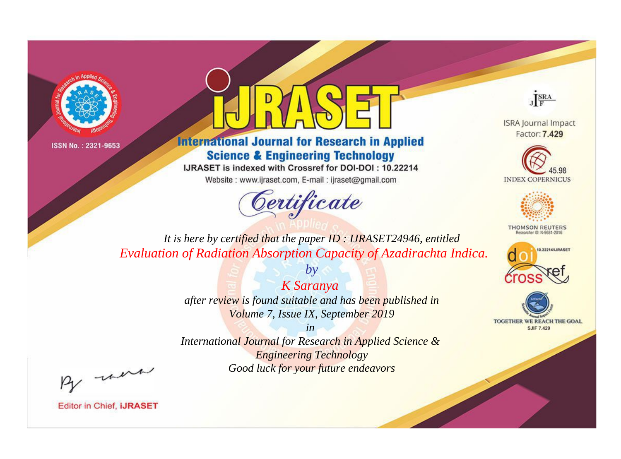



**International Journal for Research in Applied Science & Engineering Technology** 

IJRASET is indexed with Crossref for DOI-DOI: 10.22214

Website: www.ijraset.com, E-mail: ijraset@gmail.com





**ISRA Journal Impact** Factor: 7.429





**THOMSON REUTERS** 



TOGETHER WE REACH THE GOAL **SJIF 7.429** 

*It is here by certified that the paper ID : IJRASET24946, entitled Evaluation of Radiation Absorption Capacity of Azadirachta Indica.*

> *K Saranya after review is found suitable and has been published in Volume 7, Issue IX, September 2019*

*by*

*in* 

*International Journal for Research in Applied Science & Engineering Technology Good luck for your future endeavors*

By morn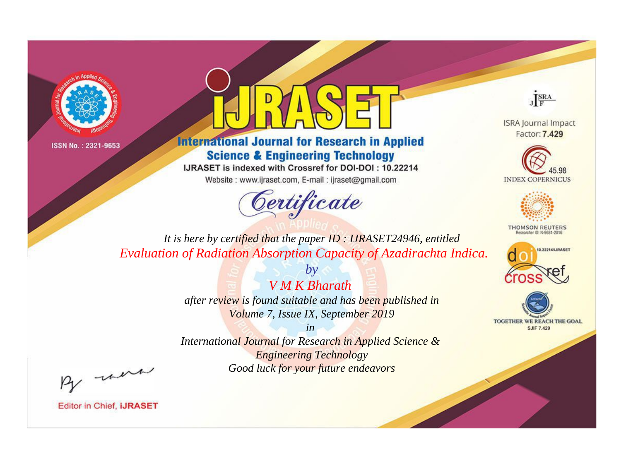



**International Journal for Research in Applied Science & Engineering Technology** 

IJRASET is indexed with Crossref for DOI-DOI: 10.22214

Website: www.ijraset.com, E-mail: ijraset@gmail.com





**ISRA Journal Impact** Factor: 7.429





**THOMSON REUTERS** 



TOGETHER WE REACH THE GOAL **SJIF 7.429** 

*It is here by certified that the paper ID : IJRASET24946, entitled Evaluation of Radiation Absorption Capacity of Azadirachta Indica.*

> *by V M K Bharath after review is found suitable and has been published in Volume 7, Issue IX, September 2019*

*in International Journal for Research in Applied Science & Engineering Technology Good luck for your future endeavors*

By morn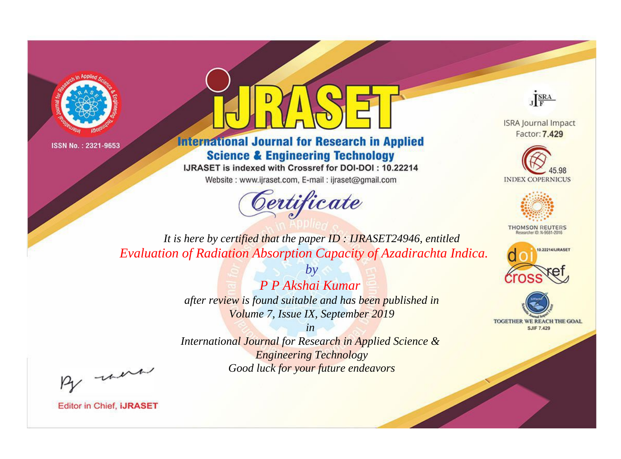



**International Journal for Research in Applied Science & Engineering Technology** 

IJRASET is indexed with Crossref for DOI-DOI: 10.22214

Website: www.ijraset.com, E-mail: ijraset@gmail.com



JERA

**ISRA Journal Impact** Factor: 7.429





**THOMSON REUTERS** 



TOGETHER WE REACH THE GOAL **SJIF 7.429** 

It is here by certified that the paper ID: IJRASET24946, entitled Evaluation of Radiation Absorption Capacity of Azadirachta Indica.

> P P Akshai Kumar after review is found suitable and has been published in Volume 7, Issue IX, September 2019

 $b\mathbf{v}$ 

 $in$ International Journal for Research in Applied Science & **Engineering Technology** Good luck for your future endeavors

By morn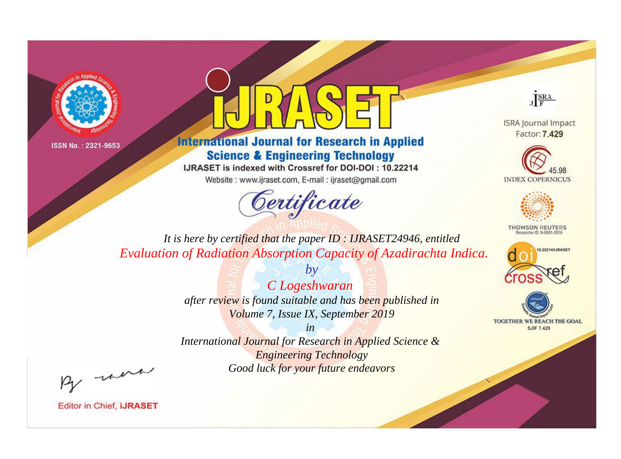



**International Journal for Research in Applied Science & Engineering Technology** 

IJRASET is indexed with Crossref for DOI-DOI: 10.22214

Website: www.ijraset.com, E-mail: ijraset@gmail.com





**ISRA Journal Impact** Factor: 7.429





**THOMSON REUTERS** 



TOGETHER WE REACH THE GOAL **SJIF 7.429** 

*It is here by certified that the paper ID : IJRASET24946, entitled Evaluation of Radiation Absorption Capacity of Azadirachta Indica.*

> *C Logeshwaran after review is found suitable and has been published in Volume 7, Issue IX, September 2019*

*by*

*in International Journal for Research in Applied Science & Engineering Technology Good luck for your future endeavors*

By morn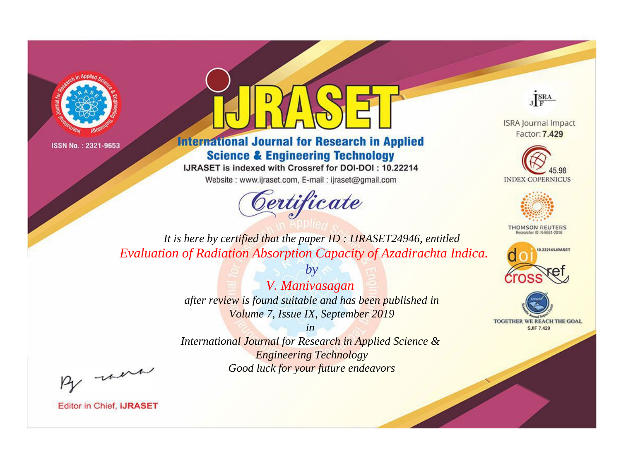



**International Journal for Research in Applied Science & Engineering Technology** 

IJRASET is indexed with Crossref for DOI-DOI: 10.22214

Website: www.ijraset.com, E-mail: ijraset@gmail.com





**ISRA Journal Impact** Factor: 7.429





**THOMSON REUTERS** 



TOGETHER WE REACH THE GOAL **SJIF 7.429** 

*It is here by certified that the paper ID : IJRASET24946, entitled Evaluation of Radiation Absorption Capacity of Azadirachta Indica.*

> *by V. Manivasagan after review is found suitable and has been published in Volume 7, Issue IX, September 2019*

*in International Journal for Research in Applied Science & Engineering Technology Good luck for your future endeavors*

By morn